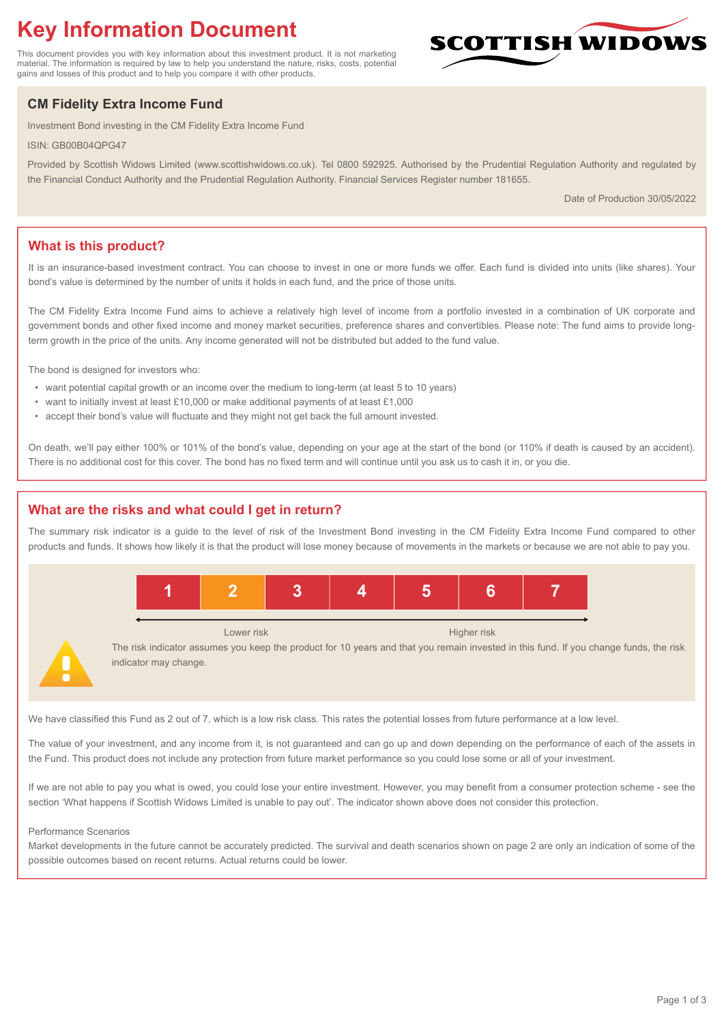# **Key Information Document**

This document provides you with key information about this investment product. It is not marketing material. The information is required by law to help you understand the nature, risks, costs, potential gains and losses of this product and to help you compare it with other products.

## **CM Fidelity Extra Income Fund**

Investment Bond investing in the CM Fidelity Extra Income Fund

ISIN: GB00B04QPG47

Provided by Scottish Widows Limited (www.scottishwidows.co.uk). Tel 0800 592925. Authorised by the Prudential Regulation Authority and regulated by the Financial Conduct Authority and the Prudential Regulation Authority. Financial Services Register number 181655.

Date of Production 30/05/2022

**SCOTTISH WIDOW** 

## **What is this product?**

It is an insurance-based investment contract. You can choose to invest in one or more funds we offer. Each fund is divided into units (like shares). Your bond's value is determined by the number of units it holds in each fund, and the price of those units.

The CM Fidelity Extra Income Fund aims to achieve a relatively high level of income from a portfolio invested in a combination of UK corporate and government bonds and other fixed income and money market securities, preference shares and convertibles. Please note: The fund aims to provide longterm growth in the price of the units. Any income generated will not be distributed but added to the fund value.

The bond is designed for investors who:

- want potential capital growth or an income over the medium to long-term (at least 5 to 10 years)
- want to initially invest at least £10,000 or make additional payments of at least £1,000
- accept their bond's value will fluctuate and they might not get back the full amount invested.

On death, we'll pay either 100% or 101% of the bond's value, depending on your age at the start of the bond (or 110% if death is caused by an accident). There is no additional cost for this cover. The bond has no fixed term and will continue until you ask us to cash it in, or you die.

## **What are the risks and what could I get in return?**

The summary risk indicator is a guide to the level of risk of the Investment Bond investing in the CM Fidelity Extra Income Fund compared to other products and funds. It shows how likely it is that the product will lose money because of movements in the markets or because we are not able to pay you.



The risk indicator assumes you keep the product for 10 years and that you remain invested in this fund. If you change funds, the risk indicator may change.

We have classified this Fund as 2 out of 7, which is a low risk class. This rates the potential losses from future performance at a low level.

The value of your investment, and any income from it, is not guaranteed and can go up and down depending on the performance of each of the assets in the Fund. This product does not include any protection from future market performance so you could lose some or all of your investment.

If we are not able to pay you what is owed, you could lose your entire investment. However, you may benefit from a consumer protection scheme - see the section 'What happens if Scottish Widows Limited is unable to pay out'. The indicator shown above does not consider this protection.

#### Performance Scenarios

Market developments in the future cannot be accurately predicted. The survival and death scenarios shown on page 2 are only an indication of some of the possible outcomes based on recent returns. Actual returns could be lower.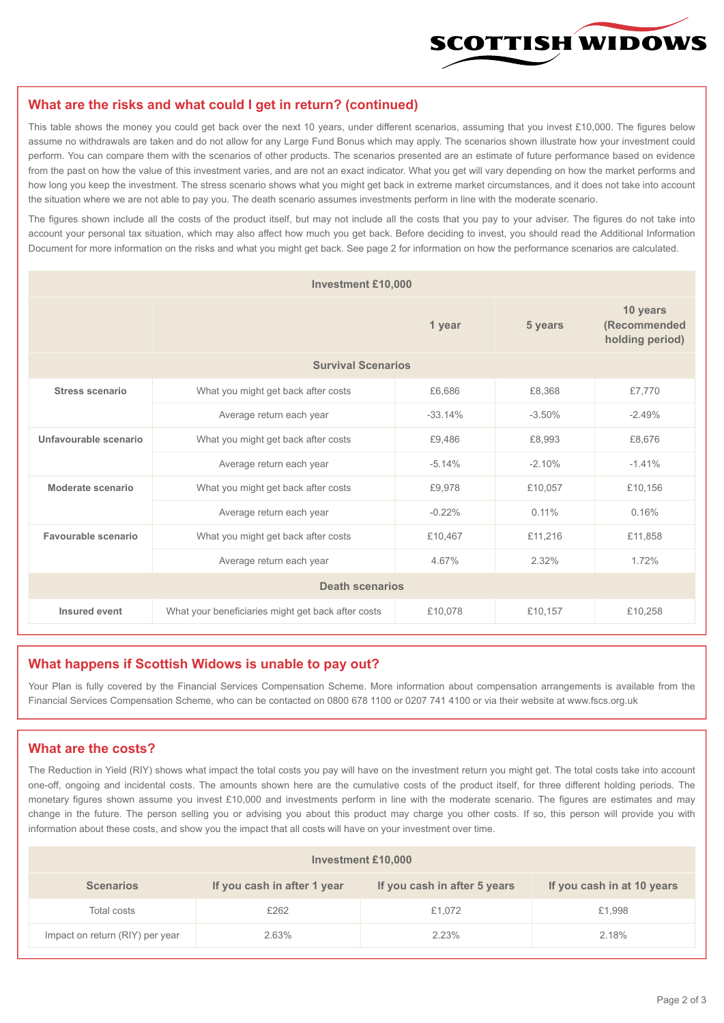

#### **What are the risks and what could I get in return? (continued)**

This table shows the money you could get back over the next 10 years, under different scenarios, assuming that you invest £10,000. The figures below assume no withdrawals are taken and do not allow for any Large Fund Bonus which may apply. The scenarios shown illustrate how your investment could perform. You can compare them with the scenarios of other products. The scenarios presented are an estimate of future performance based on evidence from the past on how the value of this investment varies, and are not an exact indicator. What you get will vary depending on how the market performs and how long you keep the investment. The stress scenario shows what you might get back in extreme market circumstances, and it does not take into account the situation where we are not able to pay you. The death scenario assumes investments perform in line with the moderate scenario.

The figures shown include all the costs of the product itself, but may not include all the costs that you pay to your adviser. The figures do not take into account your personal tax situation, which may also affect how much you get back. Before deciding to invest, you should read the Additional Information Document for more information on the risks and what you might get back. See page 2 for information on how the performance scenarios are calculated.

| <b>Investment £10,000</b> |                                                    |          |          |                                             |  |  |
|---------------------------|----------------------------------------------------|----------|----------|---------------------------------------------|--|--|
|                           |                                                    | 1 year   | 5 years  | 10 years<br>(Recommended<br>holding period) |  |  |
| <b>Survival Scenarios</b> |                                                    |          |          |                                             |  |  |
| Stress scenario           | What you might get back after costs<br>£6,686      |          | £8.368   | £7,770                                      |  |  |
|                           | Average return each year<br>$-33.14%$              |          | $-3.50%$ | $-2.49%$                                    |  |  |
| Unfavourable scenario     | What you might get back after costs<br>£9,486      |          | £8,993   | £8,676                                      |  |  |
|                           | Average return each year                           | $-5.14%$ | $-2.10%$ | $-1.41%$                                    |  |  |
| Moderate scenario         | What you might get back after costs                | £9,978   | £10,057  | £10,156                                     |  |  |
|                           | Average return each year                           | $-0.22%$ | $0.11\%$ | 0.16%                                       |  |  |
| Favourable scenario       | What you might get back after costs                | £10,467  | £11,216  | £11,858                                     |  |  |
| Average return each year  |                                                    | 4.67%    | 2.32%    | 1.72%                                       |  |  |
| <b>Death scenarios</b>    |                                                    |          |          |                                             |  |  |
| Insured event             | What your beneficiaries might get back after costs | £10,078  | £10,157  | £10,258                                     |  |  |

#### **What happens if Scottish Widows is unable to pay out?**

Your Plan is fully covered by the Financial Services Compensation Scheme. More information about compensation arrangements is available from the Financial Services Compensation Scheme, who can be contacted on 0800 678 1100 or 0207 741 4100 or via their website at www.fscs.org.uk

#### **What are the costs?**

The Reduction in Yield (RIY) shows what impact the total costs you pay will have on the investment return you might get. The total costs take into account one-off, ongoing and incidental costs. The amounts shown here are the cumulative costs of the product itself, for three different holding periods. The monetary figures shown assume you invest £10,000 and investments perform in line with the moderate scenario. The figures are estimates and may change in the future. The person selling you or advising you about this product may charge you other costs. If so, this person will provide you with information about these costs, and show you the impact that all costs will have on your investment over time.

| Investment £10,000              |                             |                              |                            |  |  |  |
|---------------------------------|-----------------------------|------------------------------|----------------------------|--|--|--|
| <b>Scenarios</b>                | If you cash in after 1 year | If you cash in after 5 years | If you cash in at 10 years |  |  |  |
| Total costs                     | £262                        | £1.072                       | £1,998                     |  |  |  |
| Impact on return (RIY) per year | 2.63%                       | 2.23%                        | 2.18%                      |  |  |  |